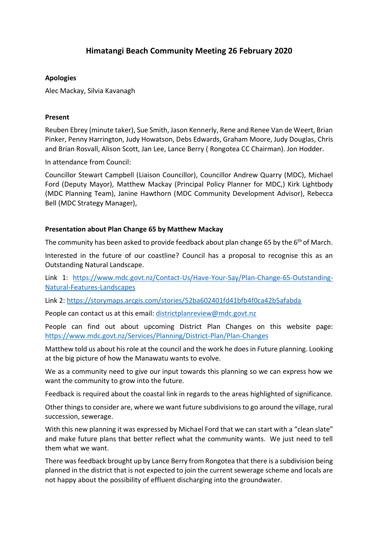# **Himatangi Beach Community Meeting 26 February 2020**

## **Apologies**

Alec Mackay, Silvia Kavanagh

### **Present**

Reuben Ebrey (minute taker), Sue Smith, Jason Kennerly, Rene and Renee Van de Weert, Brian Pinker, Penny Harrington, Judy Howatson, Debs Edwards, Graham Moore, Judy Douglas, Chris and Brian Rosvall, Alison Scott, Jan Lee, Lance Berry ( Rongotea CC Chairman). Jon Hodder.

In attendance from Council:

Councillor Stewart Campbell (Liaison Councillor), Councillor Andrew Quarry (MDC), Michael Ford (Deputy Mayor), Matthew Mackay (Principal Policy Planner for MDC,) Kirk Lightbody (MDC Planning Team), Janine Hawthorn (MDC Community Development Advisor), Rebecca Bell (MDC Strategy Manager),

#### **Presentation about Plan Change 65 by Matthew Mackay**

The community has been asked to provide feedback about plan change 65 by the  $6<sup>th</sup>$  of March.

Interested in the future of our coastline? Council has a proposal to recognise this as an Outstanding Natural Landscape.

Link 1: [https://www.mdc.govt.nz/Contact-Us/Have-Your-Say/Plan-Change-65-Outstanding-](https://www.mdc.govt.nz/Contact-Us/Have-Your-Say/Plan-Change-65-Outstanding-Natural-Features-Landscapes)[Natural-Features-Landscapes](https://www.mdc.govt.nz/Contact-Us/Have-Your-Say/Plan-Change-65-Outstanding-Natural-Features-Landscapes)

Link 2: <https://storymaps.arcgis.com/stories/52ba602401fd41bfb4f0ca42b5afabda>

People can contact us at this email: [districtplanreview@mdc.govt.nz](mailto:districtplanreview@mdc.govt.nz)

People can find out about upcoming District Plan Changes on this website page: <https://www.mdc.govt.nz/Services/Planning/District-Plan/Plan-Changes>

Matthew told us about his role at the council and the work he does in Future planning. Looking at the big picture of how the Manawatu wants to evolve.

We as a community need to give our input towards this planning so we can express how we want the community to grow into the future.

Feedback is required about the coastal link in regards to the areas highlighted of significance.

Other things to consider are, where we want future subdivisions to go around the village, rural succession, sewerage.

With this new planning it was expressed by Michael Ford that we can start with a "clean slate" and make future plans that better reflect what the community wants. We just need to tell them what we want.

There was feedback brought up by Lance Berry from Rongotea that there is a subdivision being planned in the district that is not expected to join the current sewerage scheme and locals are not happy about the possibility of effluent discharging into the groundwater.